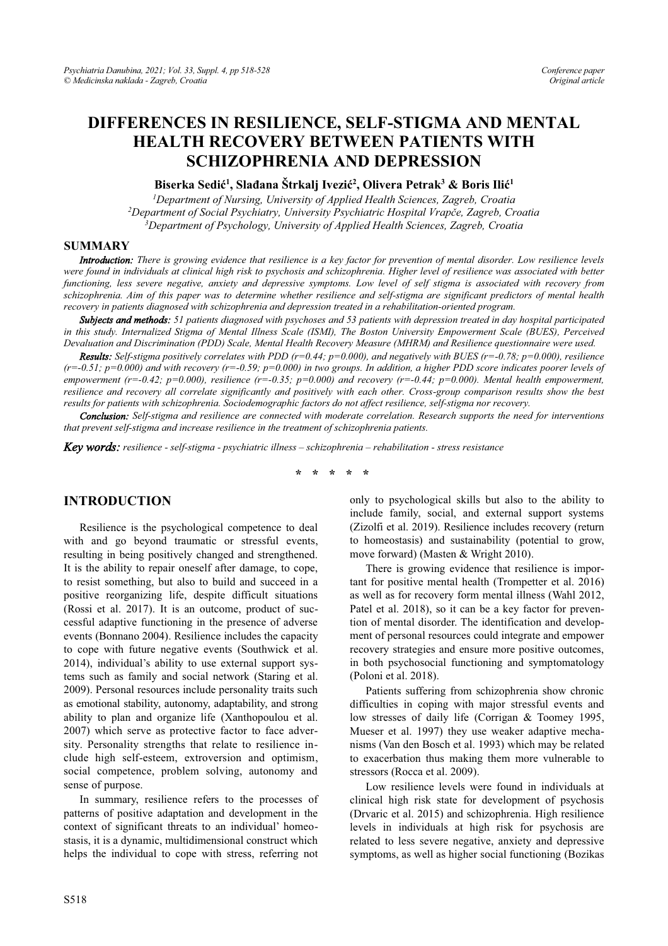# **DIFFERENCES IN RESILIENCE, SELF-STIGMA AND MENTAL HEALTH RECOVERY BETWEEN PATIENTS WITH SCHIZOPHRENIA AND DEPRESSION**

 $\mathbf{B}$ iserka Sedić<sup>1</sup>, Slađana Štrkalj Ivezić<sup>2</sup>, Olivera Petrak<sup>3</sup> & Boris Ilić<sup>1</sup>

*1 Department of Nursing, University of Applied Health Sciences, Zagreb, Croatia 2* <sup>2</sup>Department of Social Psychiatry, University Psychiatric Hospital Vrapče, Zagreb, Croatia *3 Department of Psychology, University of Applied Health Sciences, Zagreb, Croatia* 

#### **SUMMARY**

*Introduction: There is growing evidence that resilience is a key factor for prevention of mental disorder. Low resilience levels were found in individuals at clinical high risk to psychosis and schizophrenia. Higher level of resilience was associated with better functioning, less severe negative, anxiety and depressive symptoms. Low level of self stigma is associated with recovery from schizophrenia. Aim of this paper was to determine whether resilience and self-stigma are significant predictors of mental health recovery in patients diagnosed with schizophrenia and depression treated in a rehabilitation-oriented program.* 

*Subjects and methods: 51 patients diagnosed with psychoses and 53 patients with depression treated in day hospital participated in this study. Internalized Stigma of Mental Illness Scale (ISMI), The Boston University Empowerment Scale (BUES), Perceived Devaluation and Discrimination (PDD) Scale, Mental Health Recovery Measure (MHRM) and Resilience questionnaire were used.* 

*Results: Self-stigma positively correlates with PDD (r=0.44; p=0.000), and negatively with BUES (r=-0.78; p=0.000), resilience (r=-0.51; p=0.000) and with recovery (r=-0.59; p=0.000) in two groups. In addition, a higher PDD score indicates poorer levels of empowerment (r=-0.42; p=0.000), resilience (r=-0.35; p=0.000) and recovery (r=-0.44; p=0.000). Mental health empowerment, resilience and recovery all correlate significantly and positively with each other. Cross-group comparison results show the best results for patients with schizophrenia. Sociodemographic factors do not affect resilience, self-stigma nor recovery.*

*Conclusion: Self-stigma and resilience are connected with moderate correlation. Research supports the need for interventions that prevent self-stigma and increase resilience in the treatment of schizophrenia patients.*

*Key words: resilience - self-stigma - psychiatric illness - schizophrenia - rehabilitation - stress resistance* 

**\* \* \* \* \*** 

### **INTRODUCTION**

Resilience is the psychological competence to deal with and go beyond traumatic or stressful events, resulting in being positively changed and strengthened. It is the ability to repair oneself after damage, to cope, to resist something, but also to build and succeed in a positive reorganizing life, despite difficult situations (Rossi et al. 2017). It is an outcome, product of successful adaptive functioning in the presence of adverse events (Bonnano 2004). Resilience includes the capacity to cope with future negative events (Southwick et al. 2014), individual's ability to use external support systems such as family and social network (Staring et al. 2009). Personal resources include personality traits such as emotional stability, autonomy, adaptability, and strong ability to plan and organize life (Xanthopoulou et al. 2007) which serve as protective factor to face adversity. Personality strengths that relate to resilience include high self-esteem, extroversion and optimism, social competence, problem solving, autonomy and sense of purpose.

In summary, resilience refers to the processes of patterns of positive adaptation and development in the context of significant threats to an individual' homeostasis, it is a dynamic, multidimensional construct which helps the individual to cope with stress, referring not

only to psychological skills but also to the ability to include family, social, and external support systems (Zizolfi et al. 2019). Resilience includes recovery (return to homeostasis) and sustainability (potential to grow, move forward) (Masten & Wright 2010).

There is growing evidence that resilience is important for positive mental health (Trompetter et al. 2016) as well as for recovery form mental illness (Wahl 2012, Patel et al. 2018), so it can be a key factor for prevention of mental disorder. The identification and development of personal resources could integrate and empower recovery strategies and ensure more positive outcomes, in both psychosocial functioning and symptomatology (Poloni et al. 2018).

Patients suffering from schizophrenia show chronic difficulties in coping with major stressful events and low stresses of daily life (Corrigan & Toomey 1995, Mueser et al. 1997) they use weaker adaptive mechanisms (Van den Bosch et al. 1993) which may be related to exacerbation thus making them more vulnerable to stressors (Rocca et al. 2009).

Low resilience levels were found in individuals at clinical high risk state for development of psychosis (Drvaric et al. 2015) and schizophrenia. High resilience levels in individuals at high risk for psychosis are related to less severe negative, anxiety and depressive symptoms, as well as higher social functioning (Bozikas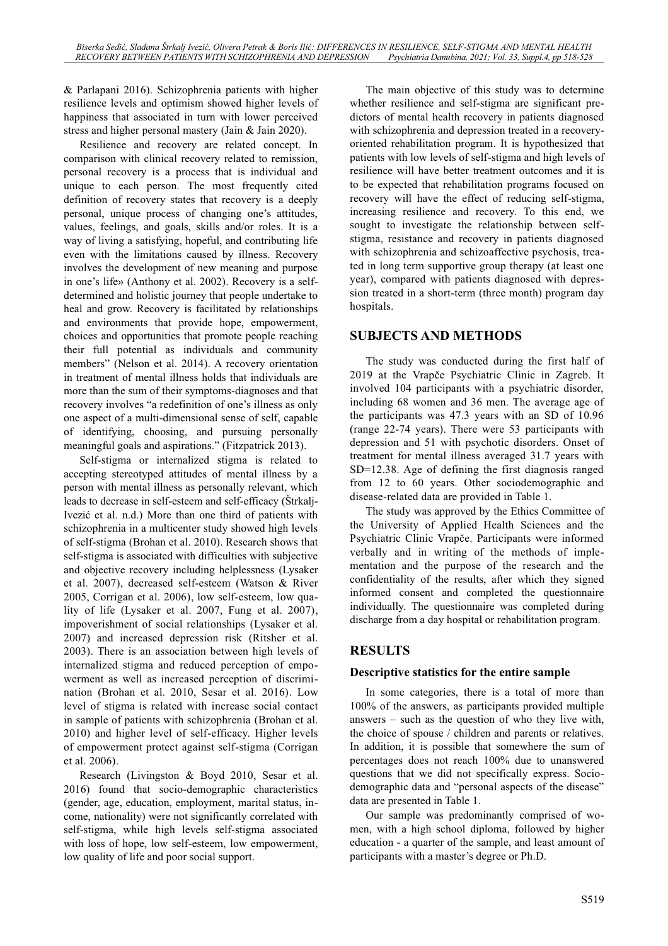& Parlapani 2016). Schizophrenia patients with higher resilience levels and optimism showed higher levels of happiness that associated in turn with lower perceived stress and higher personal mastery (Jain & Jain 2020).

Resilience and recovery are related concept. In comparison with clinical recovery related to remission, personal recovery is a process that is individual and unique to each person. The most frequently cited definition of recovery states that recovery is a deeply personal, unique process of changing one's attitudes, values, feelings, and goals, skills and/or roles. It is a way of living a satisfying, hopeful, and contributing life even with the limitations caused by illness. Recovery involves the development of new meaning and purpose in one's life» (Anthony et al. 2002). Recovery is a selfdetermined and holistic journey that people undertake to heal and grow. Recovery is facilitated by relationships and environments that provide hope, empowerment, choices and opportunities that promote people reaching their full potential as individuals and community members" (Nelson et al. 2014). A recovery orientation in treatment of mental illness holds that individuals are more than the sum of their symptoms-diagnoses and that recovery involves "a redefinition of one's illness as only one aspect of a multi-dimensional sense of self, capable of identifying, choosing, and pursuing personally meaningful goals and aspirations." (Fitzpatrick 2013).

Self-stigma or internalized stigma is related to accepting stereotyped attitudes of mental illness by a person with mental illness as personally relevant, which leads to decrease in self-esteem and self-efficacy (Štrkalj-Ivezić et al. n.d.) More than one third of patients with schizophrenia in a multicenter study showed high levels of self-stigma (Brohan et al. 2010). Research shows that self-stigma is associated with difficulties with subjective and objective recovery including helplessness (Lysaker et al. 2007), decreased self-esteem (Watson & River 2005, Corrigan et al. 2006), low self-esteem, low quality of life (Lysaker et al. 2007, Fung et al. 2007), impoverishment of social relationships (Lysaker et al. 2007) and increased depression risk (Ritsher et al. 2003). There is an association between high levels of internalized stigma and reduced perception of empowerment as well as increased perception of discrimination (Brohan et al. 2010, Sesar et al. 2016). Low level of stigma is related with increase social contact in sample of patients with schizophrenia (Brohan et al. 2010) and higher level of self-efficacy. Higher levels of empowerment protect against self-stigma (Corrigan et al. 2006).

Research (Livingston & Boyd 2010, Sesar et al. 2016) found that socio-demographic characteristics (gender, age, education, employment, marital status, income, nationality) were not significantly correlated with self-stigma, while high levels self-stigma associated with loss of hope, low self-esteem, low empowerment, low quality of life and poor social support.

The main objective of this study was to determine whether resilience and self-stigma are significant predictors of mental health recovery in patients diagnosed with schizophrenia and depression treated in a recoveryoriented rehabilitation program. It is hypothesized that patients with low levels of self-stigma and high levels of resilience will have better treatment outcomes and it is to be expected that rehabilitation programs focused on recovery will have the effect of reducing self-stigma, increasing resilience and recovery. To this end, we sought to investigate the relationship between selfstigma, resistance and recovery in patients diagnosed with schizophrenia and schizoaffective psychosis, treated in long term supportive group therapy (at least one year), compared with patients diagnosed with depression treated in a short-term (three month) program day hospitals.

# **SUBJECTS AND METHODS**

The study was conducted during the first half of 2019 at the Vrapče Psychiatric Clinic in Zagreb. It involved 104 participants with a psychiatric disorder, including 68 women and 36 men. The average age of the participants was 47.3 years with an SD of 10.96 (range 22-74 years). There were 53 participants with depression and 51 with psychotic disorders. Onset of treatment for mental illness averaged 31.7 years with SD=12.38. Age of defining the first diagnosis ranged from 12 to 60 years. Other sociodemographic and disease-related data are provided in Table 1.

The study was approved by the Ethics Committee of the University of Applied Health Sciences and the Psychiatric Clinic Vrapče. Participants were informed verbally and in writing of the methods of implementation and the purpose of the research and the confidentiality of the results, after which they signed informed consent and completed the questionnaire individually. The questionnaire was completed during discharge from a day hospital or rehabilitation program.

# **RESULTS**

# **Descriptive statistics for the entire sample**

In some categories, there is a total of more than 100% of the answers, as participants provided multiple answers  $-$  such as the question of who they live with, the choice of spouse / children and parents or relatives. In addition, it is possible that somewhere the sum of percentages does not reach 100% due to unanswered questions that we did not specifically express. Sociodemographic data and "personal aspects of the disease" data are presented in Table 1.

Our sample was predominantly comprised of women, with a high school diploma, followed by higher education - a quarter of the sample, and least amount of participants with a master's degree or Ph.D.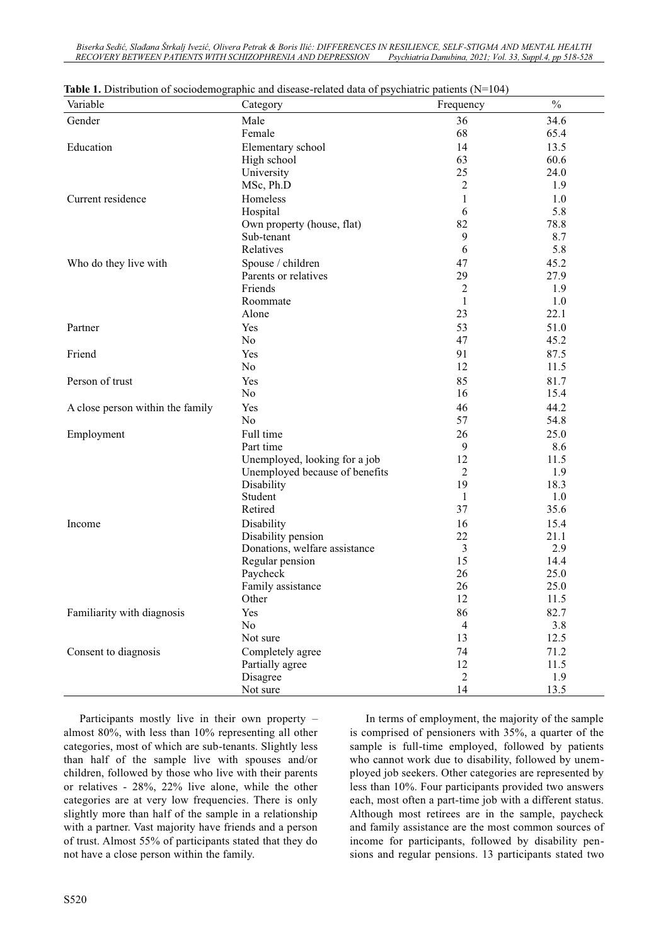Biserka Sedić, Slađana Štrkalj Ivezić, Olivera Petrak & Boris Ilić: DIFFERENCES IN RESILIENCE, SELF-STIGMA AND MENTAL HEALTH *RECOVERY BETWEEN PATIENTS WITH SCHIZOPHRENIA AND DEPRESSION Psychiatria Danubina, 2021; Vol. 33, Suppl.4, pp 518-528* 

| Variable                         | Category                       | Frequency      | $\frac{0}{0}$ |
|----------------------------------|--------------------------------|----------------|---------------|
| Gender                           | Male                           | 36             | 34.6          |
|                                  | Female                         | 68             | 65.4          |
| Education                        | Elementary school              | 14             | 13.5          |
|                                  | High school                    | 63             | 60.6          |
|                                  | University                     | 25             | 24.0          |
|                                  | MSc, Ph.D                      | $\overline{c}$ | 1.9           |
| Current residence                | Homeless                       | 1              | 1.0           |
|                                  | Hospital                       | 6              | 5.8           |
|                                  | Own property (house, flat)     | 82             | 78.8          |
|                                  | Sub-tenant                     | 9              | 8.7           |
|                                  | Relatives                      | 6              | 5.8           |
| Who do they live with            | Spouse / children              | 47             | 45.2          |
|                                  | Parents or relatives           | 29             | 27.9          |
|                                  | Friends                        | $\overline{2}$ | 1.9           |
|                                  | Roommate                       | 1              | 1.0           |
|                                  | Alone                          | 23             | 22.1          |
| Partner                          | Yes                            | 53             | 51.0          |
|                                  | N <sub>o</sub>                 | 47             | 45.2          |
| Friend                           | Yes                            | 91             | 87.5          |
|                                  | No                             | 12             | 11.5          |
| Person of trust                  | Yes                            | 85             | 81.7          |
|                                  | No                             | 16             | 15.4          |
| A close person within the family | Yes                            | 46             | 44.2          |
|                                  | N <sub>o</sub>                 | 57             | 54.8          |
| Employment                       | Full time                      | 26             | 25.0          |
|                                  | Part time                      | 9              | 8.6           |
|                                  | Unemployed, looking for a job  | 12             | 11.5          |
|                                  | Unemployed because of benefits | $\overline{c}$ | 1.9           |
|                                  | Disability                     | 19             | 18.3          |
|                                  | Student                        | 1              | 1.0           |
|                                  | Retired                        | 37             | 35.6          |
| Income                           | Disability                     | 16             | 15.4          |
|                                  | Disability pension             | 22             | 21.1          |
|                                  | Donations, welfare assistance  | 3              | 2.9           |
|                                  | Regular pension                | 15             | 14.4          |
|                                  | Paycheck                       | 26             | 25.0          |
|                                  | Family assistance              | 26             | 25.0          |
|                                  | Other                          | 12             | 11.5          |
| Familiarity with diagnosis       | Yes                            | 86             | 82.7          |
|                                  | No                             | $\overline{4}$ | 3.8           |
|                                  | Not sure                       | 13             | 12.5          |
| Consent to diagnosis             | Completely agree               | 74             | 71.2          |
|                                  | Partially agree                | 12             | 11.5          |
|                                  | Disagree                       | $\overline{2}$ | 1.9           |
|                                  | Not sure                       | 14             | 13.5          |

**Table 1.** Distribution of sociodemographic and disease-related data of psychiatric patients (N=104)

Participants mostly live in their own property  $$ almost 80%, with less than 10% representing all other categories, most of which are sub-tenants. Slightly less than half of the sample live with spouses and/or children, followed by those who live with their parents or relatives - 28%, 22% live alone, while the other categories are at very low frequencies. There is only slightly more than half of the sample in a relationship with a partner. Vast majority have friends and a person of trust. Almost 55% of participants stated that they do not have a close person within the family.

In terms of employment, the majority of the sample is comprised of pensioners with 35%, a quarter of the sample is full-time employed, followed by patients who cannot work due to disability, followed by unemployed job seekers. Other categories are represented by less than 10%. Four participants provided two answers each, most often a part-time job with a different status. Although most retirees are in the sample, paycheck and family assistance are the most common sources of income for participants, followed by disability pensions and regular pensions. 13 participants stated two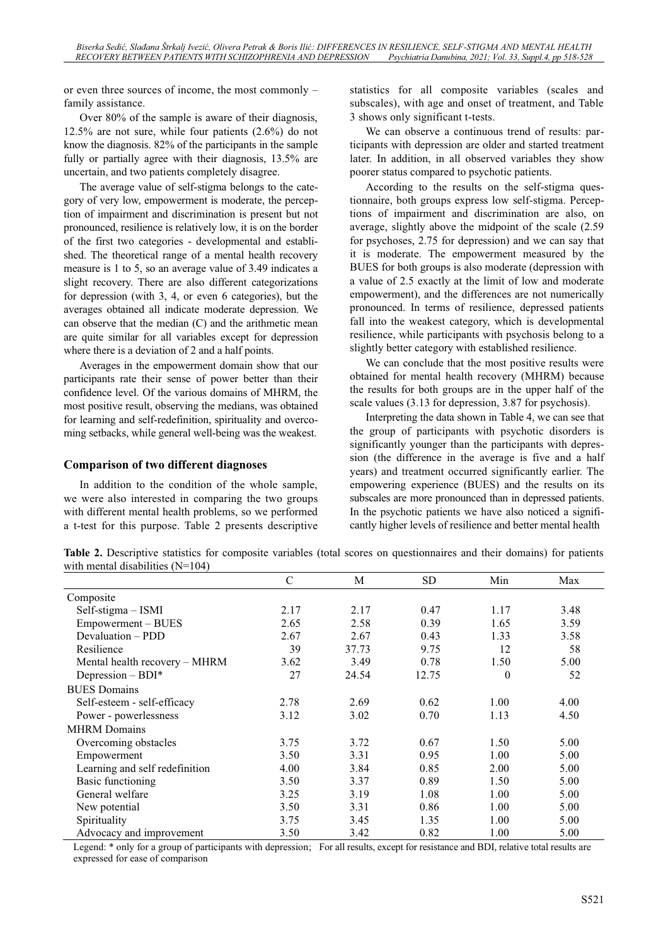or even three sources of income, the most commonly  $$ family assistance.

Over 80% of the sample is aware of their diagnosis, 12.5% are not sure, while four patients (2.6%) do not know the diagnosis. 82% of the participants in the sample fully or partially agree with their diagnosis, 13.5% are uncertain, and two patients completely disagree.

The average value of self-stigma belongs to the category of very low, empowerment is moderate, the perception of impairment and discrimination is present but not pronounced, resilience is relatively low, it is on the border of the first two categories - developmental and established. The theoretical range of a mental health recovery measure is 1 to 5, so an average value of 3.49 indicates a slight recovery. There are also different categorizations for depression (with 3, 4, or even 6 categories), but the averages obtained all indicate moderate depression. We can observe that the median (C) and the arithmetic mean are quite similar for all variables except for depression where there is a deviation of 2 and a half points.

Averages in the empowerment domain show that our participants rate their sense of power better than their confidence level. Of the various domains of MHRM, the most positive result, observing the medians, was obtained for learning and self-redefinition, spirituality and overcoming setbacks, while general well-being was the weakest.

#### **Comparison of two different diagnoses**

In addition to the condition of the whole sample, we were also interested in comparing the two groups with different mental health problems, so we performed a t-test for this purpose. Table 2 presents descriptive statistics for all composite variables (scales and subscales), with age and onset of treatment, and Table 3 shows only significant t-tests.

We can observe a continuous trend of results: participants with depression are older and started treatment later. In addition, in all observed variables they show poorer status compared to psychotic patients.

According to the results on the self-stigma questionnaire, both groups express low self-stigma. Perceptions of impairment and discrimination are also, on average, slightly above the midpoint of the scale (2.59 for psychoses, 2.75 for depression) and we can say that it is moderate. The empowerment measured by the BUES for both groups is also moderate (depression with a value of 2.5 exactly at the limit of low and moderate empowerment), and the differences are not numerically pronounced. In terms of resilience, depressed patients fall into the weakest category, which is developmental resilience, while participants with psychosis belong to a slightly better category with established resilience.

We can conclude that the most positive results were obtained for mental health recovery (MHRM) because the results for both groups are in the upper half of the scale values (3.13 for depression, 3.87 for psychosis).

Interpreting the data shown in Table 4, we can see that the group of participants with psychotic disorders is significantly younger than the participants with depression (the difference in the average is five and a half years) and treatment occurred significantly earlier. The empowering experience (BUES) and the results on its subscales are more pronounced than in depressed patients. In the psychotic patients we have also noticed a significantly higher levels of resilience and better mental health

**Table 2.** Descriptive statistics for composite variables (total scores on questionnaires and their domains) for patients with mental disabilities (N=104)

|                                | C    | M     | <b>SD</b> | Min      | Max  |
|--------------------------------|------|-------|-----------|----------|------|
| Composite                      |      |       |           |          |      |
| Self-stigma - ISMI             | 2.17 | 2.17  | 0.47      | 1.17     | 3.48 |
| Empowerment - BUES             | 2.65 | 2.58  | 0.39      | 1.65     | 3.59 |
| Devaluation – PDD              | 2.67 | 2.67  | 0.43      | 1.33     | 3.58 |
| Resilience                     | 39   | 37.73 | 9.75      | 12       | 58   |
| Mental health recovery – MHRM  | 3.62 | 3.49  | 0.78      | 1.50     | 5.00 |
| Depression $-$ BDI*            | 27   | 24.54 | 12.75     | $\theta$ | 52   |
| <b>BUES</b> Domains            |      |       |           |          |      |
| Self-esteem - self-efficacy    | 2.78 | 2.69  | 0.62      | 1.00     | 4.00 |
| Power - powerlessness          | 3.12 | 3.02  | 0.70      | 1.13     | 4.50 |
| <b>MHRM</b> Domains            |      |       |           |          |      |
| Overcoming obstacles           | 3.75 | 3.72  | 0.67      | 1.50     | 5.00 |
| Empowerment                    | 3.50 | 3.31  | 0.95      | 1.00     | 5.00 |
| Learning and self redefinition | 4.00 | 3.84  | 0.85      | 2.00     | 5.00 |
| <b>Basic functioning</b>       | 3.50 | 3.37  | 0.89      | 1.50     | 5.00 |
| General welfare                | 3.25 | 3.19  | 1.08      | 1.00     | 5.00 |
| New potential                  | 3.50 | 3.31  | 0.86      | 1.00     | 5.00 |
| Spirituality                   | 3.75 | 3.45  | 1.35      | 1.00     | 5.00 |
| Advocacy and improvement       | 3.50 | 3.42  | 0.82      | 1.00     | 5.00 |

Legend: \* only for a group of participants with depression; For all results, except for resistance and BDI, relative total results are expressed for ease of comparison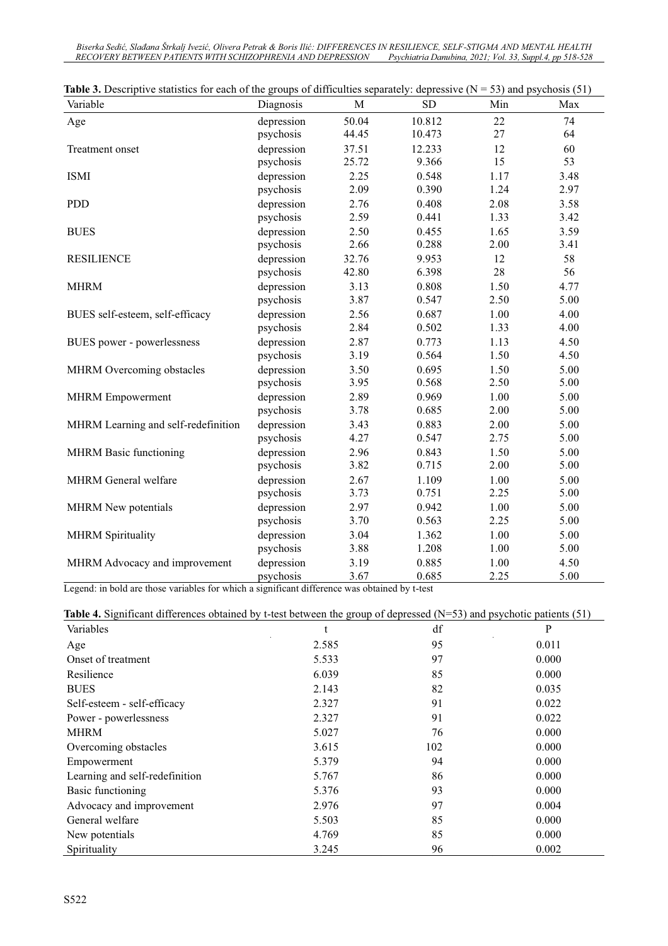Biserka Sedić, Slađana Štrkalj Ivezić, Olivera Petrak & Boris Ilić: DIFFERENCES IN RESILIENCE, SELF-STIGMA AND MENTAL HEALTH *RECOVERY BETWEEN PATIENTS WITH SCHIZOPHRENIA AND DEPRESSION Psychiatria Danubina, 2021; Vol. 33, Suppl.4, pp 518-528* 

| Variable                            | Diagnosis  | M     | <b>SD</b> | Min  | Max  |
|-------------------------------------|------------|-------|-----------|------|------|
| Age                                 | depression | 50.04 | 10.812    | 22   | 74   |
|                                     | psychosis  | 44.45 | 10.473    | 27   | 64   |
| Treatment onset                     | depression | 37.51 | 12.233    | 12   | 60   |
|                                     | psychosis  | 25.72 | 9.366     | 15   | 53   |
| <b>ISMI</b>                         | depression | 2.25  | 0.548     | 1.17 | 3.48 |
|                                     | psychosis  | 2.09  | 0.390     | 1.24 | 2.97 |
| <b>PDD</b>                          | depression | 2.76  | 0.408     | 2.08 | 3.58 |
|                                     | psychosis  | 2.59  | 0.441     | 1.33 | 3.42 |
| <b>BUES</b>                         | depression | 2.50  | 0.455     | 1.65 | 3.59 |
|                                     | psychosis  | 2.66  | 0.288     | 2.00 | 3.41 |
| <b>RESILIENCE</b>                   | depression | 32.76 | 9.953     | 12   | 58   |
|                                     | psychosis  | 42.80 | 6.398     | 28   | 56   |
| <b>MHRM</b>                         | depression | 3.13  | 0.808     | 1.50 | 4.77 |
|                                     | psychosis  | 3.87  | 0.547     | 2.50 | 5.00 |
| BUES self-esteem, self-efficacy     | depression | 2.56  | 0.687     | 1.00 | 4.00 |
|                                     | psychosis  | 2.84  | 0.502     | 1.33 | 4.00 |
| BUES power - powerlessness          | depression | 2.87  | 0.773     | 1.13 | 4.50 |
|                                     | psychosis  | 3.19  | 0.564     | 1.50 | 4.50 |
| MHRM Overcoming obstacles           | depression | 3.50  | 0.695     | 1.50 | 5.00 |
|                                     | psychosis  | 3.95  | 0.568     | 2.50 | 5.00 |
| <b>MHRM</b> Empowerment             | depression | 2.89  | 0.969     | 1.00 | 5.00 |
|                                     | psychosis  | 3.78  | 0.685     | 2.00 | 5.00 |
| MHRM Learning and self-redefinition | depression | 3.43  | 0.883     | 2.00 | 5.00 |
|                                     | psychosis  | 4.27  | 0.547     | 2.75 | 5.00 |
| <b>MHRM Basic functioning</b>       | depression | 2.96  | 0.843     | 1.50 | 5.00 |
|                                     | psychosis  | 3.82  | 0.715     | 2.00 | 5.00 |
| MHRM General welfare                | depression | 2.67  | 1.109     | 1.00 | 5.00 |
|                                     | psychosis  | 3.73  | 0.751     | 2.25 | 5.00 |
| <b>MHRM</b> New potentials          | depression | 2.97  | 0.942     | 1.00 | 5.00 |
|                                     | psychosis  | 3.70  | 0.563     | 2.25 | 5.00 |
| <b>MHRM</b> Spirituality            | depression | 3.04  | 1.362     | 1.00 | 5.00 |
|                                     | psychosis  | 3.88  | 1.208     | 1.00 | 5.00 |
| MHRM Advocacy and improvement       | depression | 3.19  | 0.885     | 1.00 | 4.50 |
|                                     | psychosis  | 3.67  | 0.685     | 2.25 | 5.00 |

**Table 3.** Descriptive statistics for each of the groups of difficulties separately: depressive  $(N = 53)$  and psychosis (51)

Legend: in bold are those variables for which a significant difference was obtained by t-test

#### **Table 4.** Significant differences obtained by t-test between the group of depressed (N=53) and psychotic patients (51)

| Variables                      |       | df  | P     |
|--------------------------------|-------|-----|-------|
| Age                            | 2.585 | 95  | 0.011 |
| Onset of treatment             | 5.533 | 97  | 0.000 |
| Resilience                     | 6.039 | 85  | 0.000 |
| <b>BUES</b>                    | 2.143 | 82  | 0.035 |
| Self-esteem - self-efficacy    | 2.327 | 91  | 0.022 |
| Power - powerlessness          | 2.327 | 91  | 0.022 |
| <b>MHRM</b>                    | 5.027 | 76  | 0.000 |
| Overcoming obstacles           | 3.615 | 102 | 0.000 |
| Empowerment                    | 5.379 | 94  | 0.000 |
| Learning and self-redefinition | 5.767 | 86  | 0.000 |
| Basic functioning              | 5.376 | 93  | 0.000 |
| Advocacy and improvement       | 2.976 | 97  | 0.004 |
| General welfare                | 5.503 | 85  | 0.000 |
| New potentials                 | 4.769 | 85  | 0.000 |
| Spirituality                   | 3.245 | 96  | 0.002 |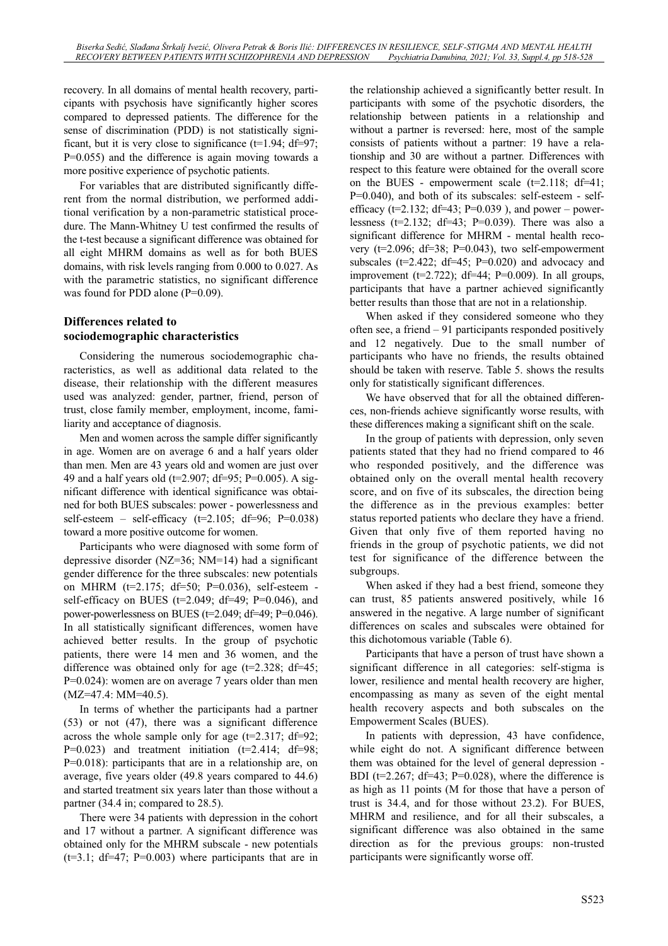recovery. In all domains of mental health recovery, participants with psychosis have significantly higher scores compared to depressed patients. The difference for the sense of discrimination (PDD) is not statistically significant, but it is very close to significance ( $t=1.94$ ; df=97; P=0.055) and the difference is again moving towards a more positive experience of psychotic patients.

For variables that are distributed significantly different from the normal distribution, we performed additional verification by a non-parametric statistical procedure. The Mann-Whitney U test confirmed the results of the t-test because a significant difference was obtained for all eight MHRM domains as well as for both BUES domains, with risk levels ranging from 0.000 to 0.027. As with the parametric statistics, no significant difference was found for PDD alone  $(P=0.09)$ .

### **Differences related to sociodemographic characteristics**

Considering the numerous sociodemographic characteristics, as well as additional data related to the disease, their relationship with the different measures used was analyzed: gender, partner, friend, person of trust, close family member, employment, income, familiarity and acceptance of diagnosis.

Men and women across the sample differ significantly in age. Women are on average 6 and a half years older than men. Men are 43 years old and women are just over 49 and a half years old (t=2.907; df=95; P=0.005). A significant difference with identical significance was obtained for both BUES subscales: power - powerlessness and self-esteem – self-efficacy ( $t=2.105$ ; df=96; P=0.038) toward a more positive outcome for women.

Participants who were diagnosed with some form of depressive disorder (NZ=36; NM=14) had a significant gender difference for the three subscales: new potentials on MHRM (t=2.175; df=50; P=0.036), self-esteem self-efficacy on BUES ( $t=2.049$ ;  $df=49$ ;  $P=0.046$ ), and power-powerlessness on BUES ( $t=2.049$ ; d $f=49$ ; P $=0.046$ ). In all statistically significant differences, women have achieved better results. In the group of psychotic patients, there were 14 men and 36 women, and the difference was obtained only for age ( $t=2.328$ ; df=45; P=0.024): women are on average 7 years older than men (MZ=47.4: MM=40.5).

In terms of whether the participants had a partner (53) or not (47), there was a significant difference across the whole sample only for age  $(t=2.317; df=92;$ P=0.023) and treatment initiation  $(t=2.414; df=98;$ P=0.018): participants that are in a relationship are, on average, five years older (49.8 years compared to 44.6) and started treatment six years later than those without a partner (34.4 in; compared to 28.5).

There were 34 patients with depression in the cohort and 17 without a partner. A significant difference was obtained only for the MHRM subscale - new potentials  $(t=3.1; df=47; P=0.003)$  where participants that are in the relationship achieved a significantly better result. In participants with some of the psychotic disorders, the relationship between patients in a relationship and without a partner is reversed: here, most of the sample consists of patients without a partner: 19 have a relationship and 30 are without a partner. Differences with respect to this feature were obtained for the overall score on the BUES - empowerment scale  $(t=2.118; df=41;$ P=0.040), and both of its subscales: self-esteem - selfefficacy ( $t=2.132$ ; df=43; P=0.039), and power – powerlessness ( $t=2.132$ ;  $df=43$ ;  $P=0.039$ ). There was also a significant difference for MHRM - mental health recovery ( $t=2.096$ ;  $df=38$ ;  $P=0.043$ ), two self-empowerment subscales ( $t=2.422$ ;  $df=45$ ;  $P=0.020$ ) and advocacy and improvement (t=2.722); df=44; P=0.009). In all groups, participants that have a partner achieved significantly better results than those that are not in a relationship.

When asked if they considered someone who they often see, a friend  $-91$  participants responded positively and 12 negatively. Due to the small number of participants who have no friends, the results obtained should be taken with reserve. Table 5. shows the results only for statistically significant differences.

We have observed that for all the obtained differences, non-friends achieve significantly worse results, with these differences making a significant shift on the scale.

In the group of patients with depression, only seven patients stated that they had no friend compared to 46 who responded positively, and the difference was obtained only on the overall mental health recovery score, and on five of its subscales, the direction being the difference as in the previous examples: better status reported patients who declare they have a friend. Given that only five of them reported having no friends in the group of psychotic patients, we did not test for significance of the difference between the subgroups.

When asked if they had a best friend, someone they can trust, 85 patients answered positively, while 16 answered in the negative. A large number of significant differences on scales and subscales were obtained for this dichotomous variable (Table 6).

Participants that have a person of trust have shown a significant difference in all categories: self-stigma is lower, resilience and mental health recovery are higher, encompassing as many as seven of the eight mental health recovery aspects and both subscales on the Empowerment Scales (BUES).

In patients with depression, 43 have confidence, while eight do not. A significant difference between them was obtained for the level of general depression - BDI ( $t=2.267$ ; df=43; P=0.028), where the difference is as high as 11 points (M for those that have a person of trust is 34.4, and for those without 23.2). For BUES, MHRM and resilience, and for all their subscales, a significant difference was also obtained in the same direction as for the previous groups: non-trusted participants were significantly worse off.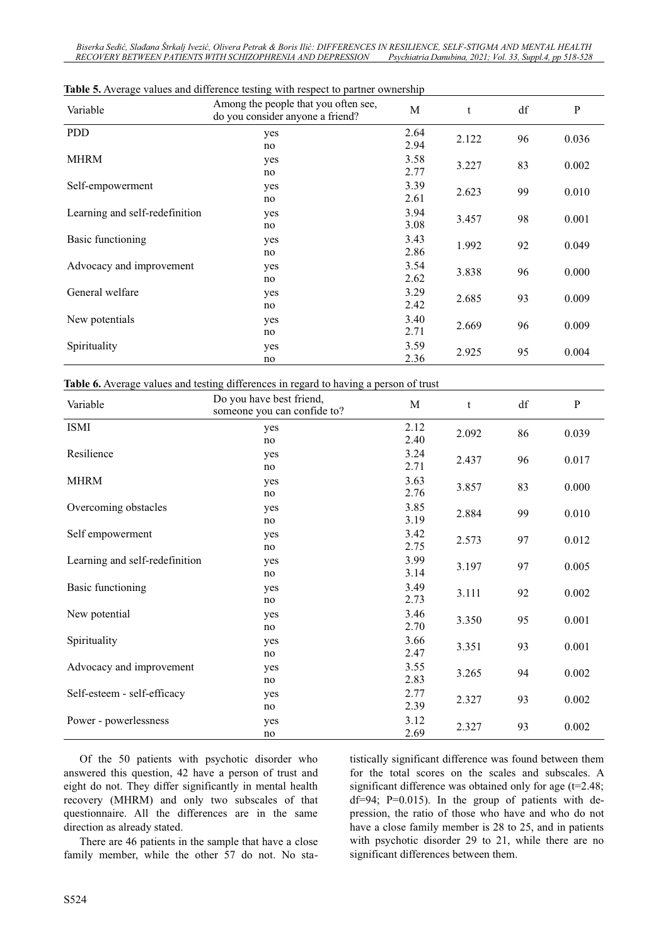Biserka Sedić, Slađana Štrkalj Ivezić, Olivera Petrak & Boris Ilić: DIFFERENCES IN RESILIENCE, SELF-STIGMA AND MENTAL HEALTH *RECOVERY BETWEEN PATIENTS WITH SCHIZOPHRENIA AND DEPRESSION Psychiatria Danubina, 2021; Vol. 33, Suppl.4, pp 518-528* 

| Variable                       | <b>Table 3.</b> Trendally values and difference testing with respect to partner ownership<br>Among the people that you often see, | $\mathbf M$ |       | df | P     |
|--------------------------------|-----------------------------------------------------------------------------------------------------------------------------------|-------------|-------|----|-------|
|                                | do you consider anyone a friend?                                                                                                  |             | t     |    |       |
| <b>PDD</b>                     | yes                                                                                                                               | 2.64        | 2.122 | 96 | 0.036 |
|                                | no                                                                                                                                | 2.94        |       |    |       |
| <b>MHRM</b>                    | yes                                                                                                                               | 3.58        | 3.227 | 83 | 0.002 |
|                                | no                                                                                                                                | 2.77        |       |    |       |
| Self-empowerment               | yes                                                                                                                               | 3.39        | 2.623 | 99 | 0.010 |
|                                | no                                                                                                                                | 2.61        |       |    |       |
| Learning and self-redefinition | yes                                                                                                                               | 3.94        | 3.457 | 98 | 0.001 |
|                                | no                                                                                                                                | 3.08        |       |    |       |
| Basic functioning              | yes                                                                                                                               | 3.43        | 1.992 | 92 | 0.049 |
|                                | no                                                                                                                                | 2.86        |       |    |       |
| Advocacy and improvement       | yes                                                                                                                               | 3.54        | 3.838 | 96 | 0.000 |
|                                | no                                                                                                                                | 2.62        |       |    |       |
| General welfare                | yes                                                                                                                               | 3.29        | 2.685 | 93 | 0.009 |
|                                | no                                                                                                                                | 2.42        |       |    |       |
| New potentials                 | yes                                                                                                                               | 3.40        | 2.669 | 96 | 0.009 |
|                                | no                                                                                                                                | 2.71        |       |    |       |
| Spirituality                   | yes                                                                                                                               | 3.59        | 2.925 | 95 | 0.004 |
|                                | no                                                                                                                                | 2.36        |       |    |       |

#### **Table 5.** Average values and difference testing with respect to partner ownership

|  |  |  | Table 6. Average values and testing differences in regard to having a person of trust |
|--|--|--|---------------------------------------------------------------------------------------|
|  |  |  |                                                                                       |

| Variable                       | Do you have best friend,<br>someone you can confide to? | M            | t     | df | ${\bf P}$ |
|--------------------------------|---------------------------------------------------------|--------------|-------|----|-----------|
| ISMI                           | yes<br>no                                               | 2.12<br>2.40 | 2.092 | 86 | 0.039     |
| Resilience                     | yes<br>no                                               | 3.24<br>2.71 | 2.437 | 96 | 0.017     |
| <b>MHRM</b>                    | yes<br>no                                               | 3.63<br>2.76 | 3.857 | 83 | 0.000     |
| Overcoming obstacles           | yes<br>no                                               | 3.85<br>3.19 | 2.884 | 99 | 0.010     |
| Self empowerment               | yes<br>no                                               | 3.42<br>2.75 | 2.573 | 97 | 0.012     |
| Learning and self-redefinition | yes<br>no                                               | 3.99<br>3.14 | 3.197 | 97 | 0.005     |
| Basic functioning              | yes<br>no                                               | 3.49<br>2.73 | 3.111 | 92 | 0.002     |
| New potential                  | yes<br>no                                               | 3.46<br>2.70 | 3.350 | 95 | 0.001     |
| Spirituality                   | yes<br>no                                               | 3.66<br>2.47 | 3.351 | 93 | 0.001     |
| Advocacy and improvement       | yes<br>no                                               | 3.55<br>2.83 | 3.265 | 94 | 0.002     |
| Self-esteem - self-efficacy    | yes<br>no                                               | 2.77<br>2.39 | 2.327 | 93 | 0.002     |
| Power - powerlessness          | yes<br>no                                               | 3.12<br>2.69 | 2.327 | 93 | 0.002     |

Of the 50 patients with psychotic disorder who answered this question, 42 have a person of trust and eight do not. They differ significantly in mental health recovery (MHRM) and only two subscales of that questionnaire. All the differences are in the same direction as already stated.

There are 46 patients in the sample that have a close family member, while the other 57 do not. No statistically significant difference was found between them for the total scores on the scales and subscales. A significant difference was obtained only for age (t=2.48;  $df=94$ ; P=0.015). In the group of patients with depression, the ratio of those who have and who do not have a close family member is 28 to 25, and in patients with psychotic disorder 29 to 21, while there are no significant differences between them.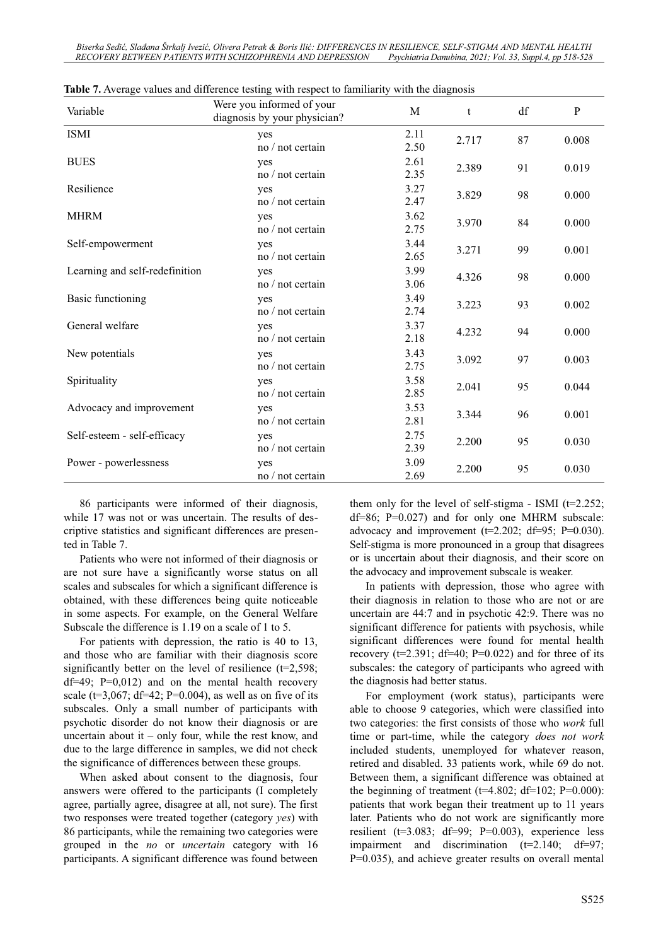*%LVHUND6HGLü6ODÿDQDâWUNDOM,YH]Lü2OLYHUD3HWUDN %RULV,OLü',))(5(1&(6,15(6,/,(1&(6(/)-STIGMA AND MENTAL HEALTH RECOVERY BETWEEN PATIENTS WITH SCHIZOPHRENIA AND DEPRESSION Psychiatria Danubina, 2021; Vol. 33, Suppl.4, pp 518-528* 

| Variable                       | Were you informed of your<br>diagnosis by your physician? | M            | t     | df | P     |
|--------------------------------|-----------------------------------------------------------|--------------|-------|----|-------|
| <b>ISMI</b>                    | yes<br>no / not certain                                   | 2.11<br>2.50 | 2.717 | 87 | 0.008 |
| <b>BUES</b>                    | yes<br>no / not certain                                   | 2.61<br>2.35 | 2.389 | 91 | 0.019 |
| Resilience                     | yes<br>no / not certain                                   | 3.27<br>2.47 | 3.829 | 98 | 0.000 |
| <b>MHRM</b>                    | yes<br>no / not certain                                   | 3.62<br>2.75 | 3.970 | 84 | 0.000 |
| Self-empowerment               | yes<br>no / not certain                                   | 3.44<br>2.65 | 3.271 | 99 | 0.001 |
| Learning and self-redefinition | yes<br>no / not certain                                   | 3.99<br>3.06 | 4.326 | 98 | 0.000 |
| <b>Basic functioning</b>       | yes<br>no / not certain                                   | 3.49<br>2.74 | 3.223 | 93 | 0.002 |
| General welfare                | yes<br>no / not certain                                   | 3.37<br>2.18 | 4.232 | 94 | 0.000 |
| New potentials                 | yes<br>no / not certain                                   | 3.43<br>2.75 | 3.092 | 97 | 0.003 |
| Spirituality                   | yes<br>no / not certain                                   | 3.58<br>2.85 | 2.041 | 95 | 0.044 |
| Advocacy and improvement       | yes<br>no / not certain                                   | 3.53<br>2.81 | 3.344 | 96 | 0.001 |
| Self-esteem - self-efficacy    | yes<br>no / not certain                                   | 2.75<br>2.39 | 2.200 | 95 | 0.030 |
| Power - powerlessness          | yes<br>no / not certain                                   | 3.09<br>2.69 | 2.200 | 95 | 0.030 |

| Table 7. Average values and difference testing with respect to familiarity with the diagnosis |  |  |
|-----------------------------------------------------------------------------------------------|--|--|
|-----------------------------------------------------------------------------------------------|--|--|

86 participants were informed of their diagnosis, while 17 was not or was uncertain. The results of descriptive statistics and significant differences are presented in Table 7.

Patients who were not informed of their diagnosis or are not sure have a significantly worse status on all scales and subscales for which a significant difference is obtained, with these differences being quite noticeable in some aspects. For example, on the General Welfare Subscale the difference is 1.19 on a scale of 1 to 5.

For patients with depression, the ratio is 40 to 13, and those who are familiar with their diagnosis score significantly better on the level of resilience (t=2,598; df=49;  $P=0,012$ ) and on the mental health recovery scale ( $t=3,067$ ; df=42; P=0.004), as well as on five of its subscales. Only a small number of participants with psychotic disorder do not know their diagnosis or are uncertain about it  $-$  only four, while the rest know, and due to the large difference in samples, we did not check the significance of differences between these groups.

When asked about consent to the diagnosis, four answers were offered to the participants (I completely agree, partially agree, disagree at all, not sure). The first two responses were treated together (category *yes*) with 86 participants, while the remaining two categories were grouped in the *no* or *uncertain* category with 16 participants. A significant difference was found between them only for the level of self-stigma - ISMI ( $t=2.252$ ; df=86; P=0.027) and for only one MHRM subscale: advocacy and improvement ( $t=2.202$ ; df=95; P=0.030). Self-stigma is more pronounced in a group that disagrees or is uncertain about their diagnosis, and their score on the advocacy and improvement subscale is weaker.

In patients with depression, those who agree with their diagnosis in relation to those who are not or are uncertain are 44:7 and in psychotic 42:9. There was no significant difference for patients with psychosis, while significant differences were found for mental health recovery ( $t=2.391$ ;  $df=40$ ;  $P=0.022$ ) and for three of its subscales: the category of participants who agreed with the diagnosis had better status.

For employment (work status), participants were able to choose 9 categories, which were classified into two categories: the first consists of those who *work* full time or part-time, while the category *does not work* included students, unemployed for whatever reason, retired and disabled. 33 patients work, while 69 do not. Between them, a significant difference was obtained at the beginning of treatment ( $t=4.802$ ; d $f=102$ ; P=0.000): patients that work began their treatment up to 11 years later. Patients who do not work are significantly more resilient (t=3.083; df=99; P=0.003), experience less impairment and discrimination (t=2.140; df=97; P=0.035), and achieve greater results on overall mental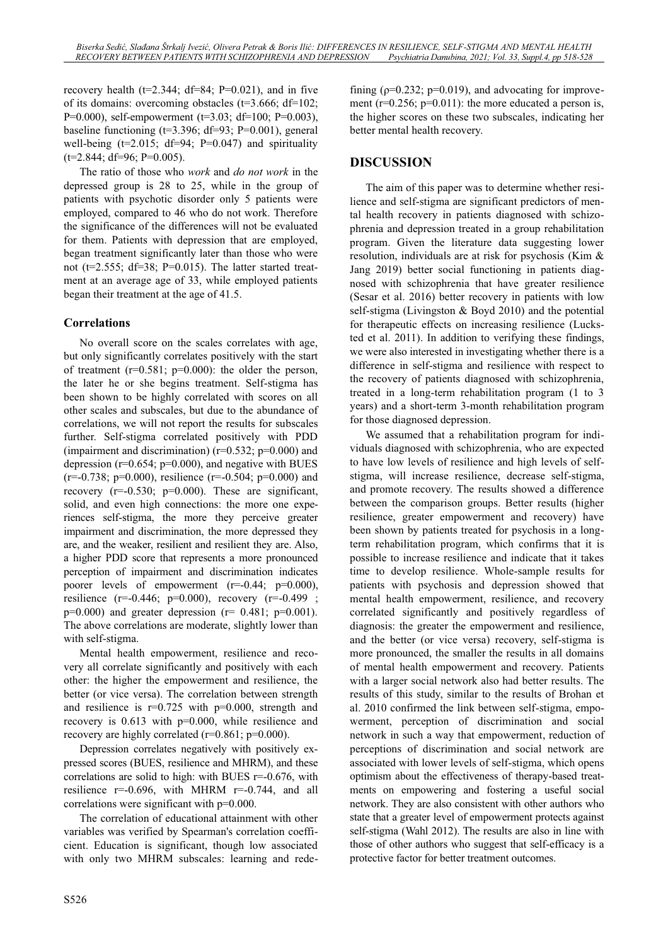recovery health ( $t=2.344$ ;  $df=84$ ;  $P=0.021$ ), and in five of its domains: overcoming obstacles (t=3.666; df=102; P=0.000), self-empowerment (t=3.03; df=100; P=0.003), baseline functioning  $(t=3.396; df=93; P=0.001)$ , general well-being ( $t=2.015$ ; df=94; P=0.047) and spirituality  $(t=2.844; df=96; P=0.005)$ .

The ratio of those who *work* and *do not work* in the depressed group is 28 to 25, while in the group of patients with psychotic disorder only 5 patients were employed, compared to 46 who do not work. Therefore the significance of the differences will not be evaluated for them. Patients with depression that are employed, began treatment significantly later than those who were not ( $t=2.555$ ; df=38; P=0.015). The latter started treatment at an average age of 33, while employed patients began their treatment at the age of 41.5.

### **Correlations**

No overall score on the scales correlates with age, but only significantly correlates positively with the start of treatment  $(r=0.581; p=0.000)$ : the older the person, the later he or she begins treatment. Self-stigma has been shown to be highly correlated with scores on all other scales and subscales, but due to the abundance of correlations, we will not report the results for subscales further. Self-stigma correlated positively with PDD (impairment and discrimination) ( $r=0.532$ ;  $p=0.000$ ) and depression ( $r=0.654$ ;  $p=0.000$ ), and negative with BUES  $(r=-0.738; p=0.000)$ , resilience  $(r=-0.504; p=0.000)$  and recovery  $(r=0.530; p=0.000)$ . These are significant, solid, and even high connections: the more one experiences self-stigma, the more they perceive greater impairment and discrimination, the more depressed they are, and the weaker, resilient and resilient they are. Also, a higher PDD score that represents a more pronounced perception of impairment and discrimination indicates poorer levels of empowerment  $(r=0.44; p=0.000)$ , resilience (r=-0.446; p=0.000), recovery (r=-0.499 ;  $p=0.000$ ) and greater depression ( $r= 0.481$ ;  $p=0.001$ ). The above correlations are moderate, slightly lower than with self-stigma.

Mental health empowerment, resilience and recovery all correlate significantly and positively with each other: the higher the empowerment and resilience, the better (or vice versa). The correlation between strength and resilience is  $r=0.725$  with  $p=0.000$ , strength and recovery is 0.613 with p=0.000, while resilience and recovery are highly correlated (r=0.861; p=0.000).

Depression correlates negatively with positively expressed scores (BUES, resilience and MHRM), and these correlations are solid to high: with BUES r=-0.676, with resilience  $r=0.696$ , with MHRM  $r=0.744$ , and all correlations were significant with p=0.000.

The correlation of educational attainment with other variables was verified by Spearman's correlation coefficient. Education is significant, though low associated with only two MHRM subscales: learning and redefining ( $p=0.232$ ;  $p=0.019$ ), and advocating for improvement ( $r=0.256$ ;  $p=0.011$ ): the more educated a person is, the higher scores on these two subscales, indicating her better mental health recovery.

# **DISCUSSION**

The aim of this paper was to determine whether resilience and self-stigma are significant predictors of mental health recovery in patients diagnosed with schizophrenia and depression treated in a group rehabilitation program. Given the literature data suggesting lower resolution, individuals are at risk for psychosis (Kim & Jang 2019) better social functioning in patients diagnosed with schizophrenia that have greater resilience (Sesar et al. 2016) better recovery in patients with low self-stigma (Livingston & Boyd 2010) and the potential for therapeutic effects on increasing resilience (Lucksted et al. 2011). In addition to verifying these findings, we were also interested in investigating whether there is a difference in self-stigma and resilience with respect to the recovery of patients diagnosed with schizophrenia, treated in a long-term rehabilitation program (1 to 3 years) and a short-term 3-month rehabilitation program for those diagnosed depression.

We assumed that a rehabilitation program for individuals diagnosed with schizophrenia, who are expected to have low levels of resilience and high levels of selfstigma, will increase resilience, decrease self-stigma, and promote recovery. The results showed a difference between the comparison groups. Better results (higher resilience, greater empowerment and recovery) have been shown by patients treated for psychosis in a longterm rehabilitation program, which confirms that it is possible to increase resilience and indicate that it takes time to develop resilience. Whole-sample results for patients with psychosis and depression showed that mental health empowerment, resilience, and recovery correlated significantly and positively regardless of diagnosis: the greater the empowerment and resilience, and the better (or vice versa) recovery, self-stigma is more pronounced, the smaller the results in all domains of mental health empowerment and recovery. Patients with a larger social network also had better results. The results of this study, similar to the results of Brohan et al. 2010 confirmed the link between self-stigma, empowerment, perception of discrimination and social network in such a way that empowerment, reduction of perceptions of discrimination and social network are associated with lower levels of self-stigma, which opens optimism about the effectiveness of therapy-based treatments on empowering and fostering a useful social network. They are also consistent with other authors who state that a greater level of empowerment protects against self-stigma (Wahl 2012). The results are also in line with those of other authors who suggest that self-efficacy is a protective factor for better treatment outcomes.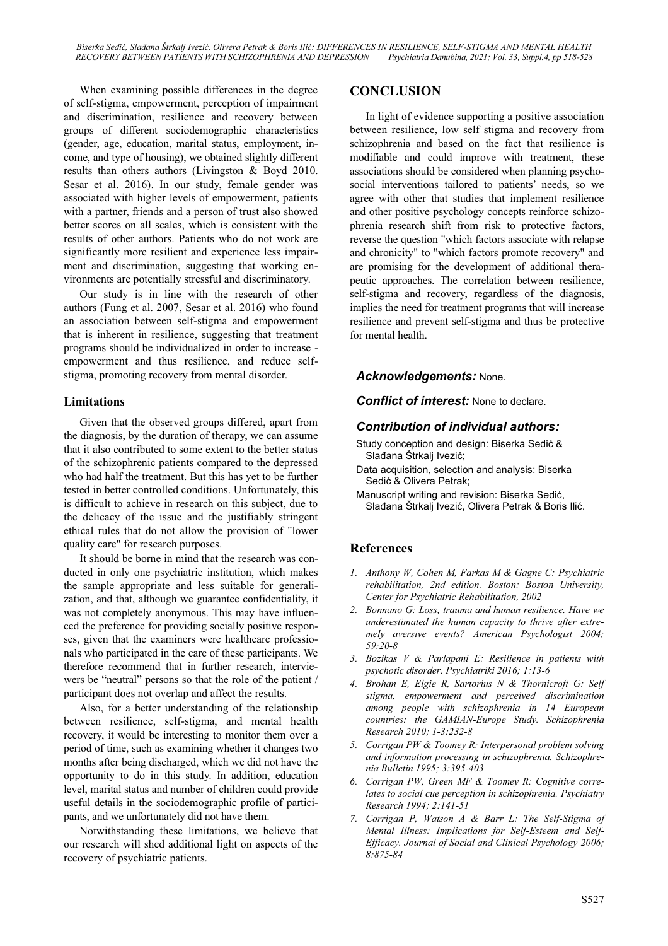When examining possible differences in the degree of self-stigma, empowerment, perception of impairment and discrimination, resilience and recovery between groups of different sociodemographic characteristics (gender, age, education, marital status, employment, income, and type of housing), we obtained slightly different results than others authors (Livingston & Boyd 2010. Sesar et al. 2016). In our study, female gender was associated with higher levels of empowerment, patients with a partner, friends and a person of trust also showed better scores on all scales, which is consistent with the results of other authors. Patients who do not work are significantly more resilient and experience less impairment and discrimination, suggesting that working environments are potentially stressful and discriminatory.

Our study is in line with the research of other authors (Fung et al. 2007, Sesar et al. 2016) who found an association between self-stigma and empowerment that is inherent in resilience, suggesting that treatment programs should be individualized in order to increase empowerment and thus resilience, and reduce selfstigma, promoting recovery from mental disorder.

### **Limitations**

Given that the observed groups differed, apart from the diagnosis, by the duration of therapy, we can assume that it also contributed to some extent to the better status of the schizophrenic patients compared to the depressed who had half the treatment. But this has yet to be further tested in better controlled conditions. Unfortunately, this is difficult to achieve in research on this subject, due to the delicacy of the issue and the justifiably stringent ethical rules that do not allow the provision of "lower quality care" for research purposes.

It should be borne in mind that the research was conducted in only one psychiatric institution, which makes the sample appropriate and less suitable for generalization, and that, although we guarantee confidentiality, it was not completely anonymous. This may have influenced the preference for providing socially positive responses, given that the examiners were healthcare professionals who participated in the care of these participants. We therefore recommend that in further research, interviewers be "neutral" persons so that the role of the patient / participant does not overlap and affect the results.

Also, for a better understanding of the relationship between resilience, self-stigma, and mental health recovery, it would be interesting to monitor them over a period of time, such as examining whether it changes two months after being discharged, which we did not have the opportunity to do in this study. In addition, education level, marital status and number of children could provide useful details in the sociodemographic profile of participants, and we unfortunately did not have them.

Notwithstanding these limitations, we believe that our research will shed additional light on aspects of the recovery of psychiatric patients.

### **CONCLUSION**

In light of evidence supporting a positive association between resilience, low self stigma and recovery from schizophrenia and based on the fact that resilience is modifiable and could improve with treatment, these associations should be considered when planning psychosocial interventions tailored to patients' needs, so we agree with other that studies that implement resilience and other positive psychology concepts reinforce schizophrenia research shift from risk to protective factors, reverse the question "which factors associate with relapse and chronicity" to "which factors promote recovery" and are promising for the development of additional therapeutic approaches. The correlation between resilience, self-stigma and recovery, regardless of the diagnosis, implies the need for treatment programs that will increase resilience and prevent self-stigma and thus be protective for mental health.

# *Acknowledgements:* None.

#### *Conflict of interest:* None to declare.

### *Contribution of individual authors:*

- Study conception and design: Biserka Sedić & Slađana Štrkalj Ivezić;
- Data acquisition, selection and analysis: Biserka Sedić & Olivera Petrak;
- Manuscript writing and revision: Biserka Sedić, Slađana Štrkalj Ivezić, Olivera Petrak & Boris Ilić.

# **References**

- *1. Anthony W, Cohen M, Farkas M & Gagne C: Psychiatric rehabilitation, 2nd edition. Boston: Boston University, Center for Psychiatric Rehabilitation, 2002*
- *2. Bonnano G: Loss, trauma and human resilience. Have we underestimated the human capacity to thrive after extremely aversive events? American Psychologist 2004; 59:20-8*
- *3. Bozikas V & Parlapani E: Resilience in patients with psychotic disorder. Psychiatriki 2016; 1:13-6*
- *4. Brohan E, Elgie R, Sartorius N & Thornicroft G: Self stigma, empowerment and perceived discrimination among people with schizophrenia in 14 European countries: the GAMIAN-Europe Study. Schizophrenia Research 2010; 1-3:232-8*
- *5. Corrigan PW & Toomey R: Interpersonal problem solving and information processing in schizophrenia. Schizophrenia Bulletin 1995; 3:395-403*
- *6. Corrigan PW, Green MF & Toomey R: Cognitive correlates to social cue perception in schizophrenia. Psychiatry Research 1994; 2:141-51*
- *7. Corrigan P, Watson A & Barr L: The Self-Stigma of Mental Illness: Implications for Self-Esteem and Self-Efficacy. Journal of Social and Clinical Psychology 2006; 8:875-84*